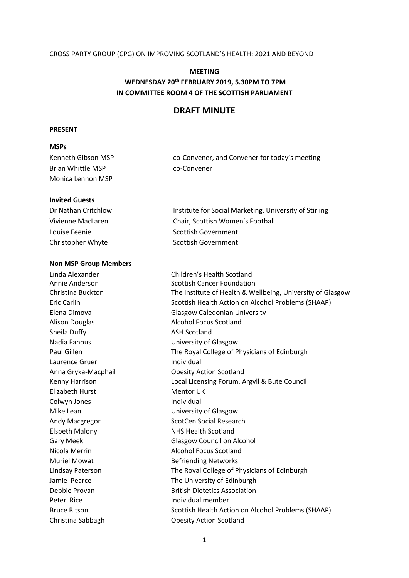#### CROSS PARTY GROUP (CPG) ON IMPROVING SCOTLAND'S HEALTH: 2021 AND BEYOND

#### **MEETING**

# **WEDNESDAY 20th FEBRUARY 2019, 5.30PM TO 7PM IN COMMITTEE ROOM 4 OF THE SCOTTISH PARLIAMENT**

# **DRAFT MINUTE**

#### **PRESENT**

## **MSPs**

| Kenneth Gibson MSP | co-Convener, and Convener for today's meeting |
|--------------------|-----------------------------------------------|
| Brian Whittle MSP  | co-Convener                                   |
| Monica Lennon MSP  |                                               |

#### **Invited Guests**

| Dr Nathan Critchlow | Institute for Social Marketing, University of Stirling |
|---------------------|--------------------------------------------------------|
| Vivienne MacLaren   | Chair, Scottish Women's Football                       |
| Louise Feenie       | Scottish Government                                    |
| Christopher Whyte   | Scottish Government                                    |

#### **Non MSP Group Members**

Linda Alexander Children's Health Scotland Alison Douglas **Alcohol Focus Scotland** Sheila Duffy **ASH Scotland** Nadia Fanous University of Glasgow Laurence Gruer **Individual** Anna Gryka-Macphail Obesity Action Scotland Elizabeth Hurst Mentor UK Colwyn Jones **Individual** Mike Lean **University of Glasgow** Andy Macgregor ScotCen Social Research Elspeth Malony NHS Health Scotland Nicola Merrin Alcohol Focus Scotland Muriel Mowat **Befriending Networks** Peter Rice **Individual member** 

Annie Anderson Scottish Cancer Foundation Christina Buckton The Institute of Health & Wellbeing, University of Glasgow Eric Carlin Scottish Health Action on Alcohol Problems (SHAAP) Elena Dimova Glasgow Caledonian University Paul Gillen The Royal College of Physicians of Edinburgh Kenny Harrison Local Licensing Forum, Argyll & Bute Council Gary Meek Glasgow Council on Alcohol Lindsay Paterson The Royal College of Physicians of Edinburgh Jamie Pearce The University of Edinburgh Debbie Provan British Dietetics Association Bruce Ritson Scottish Health Action on Alcohol Problems (SHAAP) Christina Sabbagh Obesity Action Scotland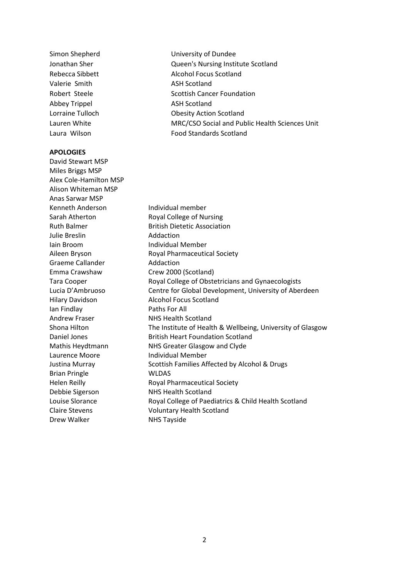Valerie Smith ASH Scotland Abbey Trippel ASH Scotland

#### **APOLOGIES**

David Stewart MSP Miles Briggs MSP Alex Cole-Hamilton MSP Alison Whiteman MSP Anas Sarwar MSP Kenneth Anderson Individual member Sarah Atherton Royal College of Nursing Ruth Balmer **British Dietetic Association** Julie Breslin **Addaction** Iain Broom **Individual Member** Aileen Bryson Royal Pharmaceutical Society Graeme Callander **Addaction** Emma Crawshaw Crew 2000 (Scotland) Tara Cooper **Royal College of Obstetricians and Gynaecologists** Hilary Davidson Alcohol Focus Scotland Ian Findlay Paths For All Andrew Fraser NHS Health Scotland Daniel Jones **British Heart Foundation Scotland** Mathis Heydtmann NHS Greater Glasgow and Clyde Laurence Moore **Individual Member** Justina Murray Scottish Families Affected by Alcohol & Drugs Brian Pringle WLDAS Helen Reilly **Royal Pharmaceutical Society** Debbie Sigerson NHS Health Scotland Louise Slorance **Royal College of Paediatrics & Child Health Scotland** Claire Stevens Voluntary Health Scotland Drew Walker NHS Tayside

Simon Shepherd University of Dundee Jonathan Sher Queen's Nursing Institute Scotland Rebecca Sibbett Alcohol Focus Scotland Robert Steele Scottish Cancer Foundation Lorraine Tulloch Obesity Action Scotland Lauren White MRC/CSO Social and Public Health Sciences Unit Laura Wilson Food Standards Scotland

Lucia D'Ambruoso Centre for Global Development, University of Aberdeen Shona Hilton The Institute of Health & Wellbeing, University of Glasgow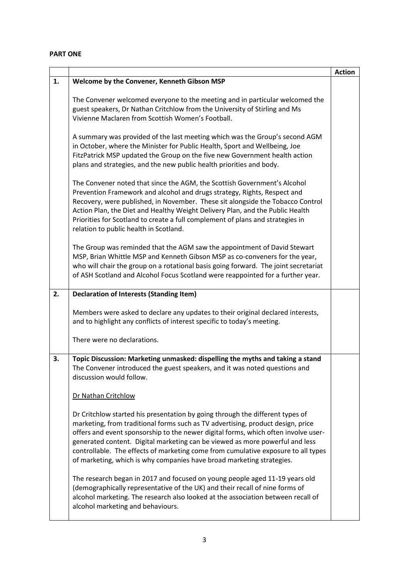## **PART ONE**

|    |                                                                                                                                                                                                                                                                                                                                                                                                                                                                                                                                                                                     | <b>Action</b> |
|----|-------------------------------------------------------------------------------------------------------------------------------------------------------------------------------------------------------------------------------------------------------------------------------------------------------------------------------------------------------------------------------------------------------------------------------------------------------------------------------------------------------------------------------------------------------------------------------------|---------------|
| 1. | Welcome by the Convener, Kenneth Gibson MSP                                                                                                                                                                                                                                                                                                                                                                                                                                                                                                                                         |               |
|    | The Convener welcomed everyone to the meeting and in particular welcomed the<br>guest speakers, Dr Nathan Critchlow from the University of Stirling and Ms<br>Vivienne Maclaren from Scottish Women's Football.                                                                                                                                                                                                                                                                                                                                                                     |               |
|    | A summary was provided of the last meeting which was the Group's second AGM<br>in October, where the Minister for Public Health, Sport and Wellbeing, Joe<br>FitzPatrick MSP updated the Group on the five new Government health action<br>plans and strategies, and the new public health priorities and body.                                                                                                                                                                                                                                                                     |               |
|    | The Convener noted that since the AGM, the Scottish Government's Alcohol<br>Prevention Framework and alcohol and drugs strategy, Rights, Respect and<br>Recovery, were published, in November. These sit alongside the Tobacco Control<br>Action Plan, the Diet and Healthy Weight Delivery Plan, and the Public Health<br>Priorities for Scotland to create a full complement of plans and strategies in<br>relation to public health in Scotland.                                                                                                                                 |               |
|    | The Group was reminded that the AGM saw the appointment of David Stewart<br>MSP, Brian Whittle MSP and Kenneth Gibson MSP as co-conveners for the year,<br>who will chair the group on a rotational basis going forward. The joint secretariat<br>of ASH Scotland and Alcohol Focus Scotland were reappointed for a further year.                                                                                                                                                                                                                                                   |               |
| 2. | <b>Declaration of Interests (Standing Item)</b>                                                                                                                                                                                                                                                                                                                                                                                                                                                                                                                                     |               |
|    | Members were asked to declare any updates to their original declared interests,<br>and to highlight any conflicts of interest specific to today's meeting.                                                                                                                                                                                                                                                                                                                                                                                                                          |               |
|    | There were no declarations.                                                                                                                                                                                                                                                                                                                                                                                                                                                                                                                                                         |               |
| 3. | Topic Discussion: Marketing unmasked: dispelling the myths and taking a stand<br>The Convener introduced the guest speakers, and it was noted questions and<br>discussion would follow.                                                                                                                                                                                                                                                                                                                                                                                             |               |
|    | Dr Nathan Critchlow                                                                                                                                                                                                                                                                                                                                                                                                                                                                                                                                                                 |               |
|    | Dr Critchlow started his presentation by going through the different types of<br>marketing, from traditional forms such as TV advertising, product design, price<br>offers and event sponsorship to the newer digital forms, which often involve user-<br>generated content. Digital marketing can be viewed as more powerful and less<br>controllable. The effects of marketing come from cumulative exposure to all types<br>of marketing, which is why companies have broad marketing strategies.<br>The research began in 2017 and focused on young people aged 11-19 years old |               |
|    | (demographically representative of the UK) and their recall of nine forms of<br>alcohol marketing. The research also looked at the association between recall of<br>alcohol marketing and behaviours.                                                                                                                                                                                                                                                                                                                                                                               |               |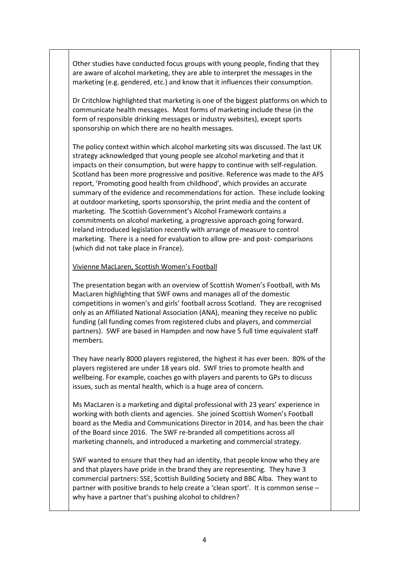Other studies have conducted focus groups with young people, finding that they are aware of alcohol marketing, they are able to interpret the messages in the marketing (e.g. gendered, etc.) and know that it influences their consumption.

Dr Critchlow highlighted that marketing is one of the biggest platforms on which to communicate health messages. Most forms of marketing include these (in the form of responsible drinking messages or industry websites), except sports sponsorship on which there are no health messages.

The policy context within which alcohol marketing sits was discussed. The last UK strategy acknowledged that young people see alcohol marketing and that it impacts on their consumption, but were happy to continue with self-regulation. Scotland has been more progressive and positive. Reference was made to the AFS report, 'Promoting good health from childhood', which provides an accurate summary of the evidence and recommendations for action. These include looking at outdoor marketing, sports sponsorship, the print media and the content of marketing. The Scottish Government's Alcohol Framework contains a commitments on alcohol marketing, a progressive approach going forward. Ireland introduced legislation recently with arrange of measure to control marketing. There is a need for evaluation to allow pre- and post- comparisons (which did not take place in France).

## Vivienne MacLaren, Scottish Women's Football

The presentation began with an overview of Scottish Women's Football, with Ms MacLaren highlighting that SWF owns and manages all of the domestic competitions in women's and girls' football across Scotland. They are recognised only as an Affiliated National Association (ANA), meaning they receive no public funding (all funding comes from registered clubs and players, and commercial partners). SWF are based in Hampden and now have 5 full time equivalent staff members.

They have nearly 8000 players registered, the highest it has ever been. 80% of the players registered are under 18 years old. SWF tries to promote health and wellbeing. For example, coaches go with players and parents to GPs to discuss issues, such as mental health, which is a huge area of concern.

Ms MacLaren is a marketing and digital professional with 23 years' experience in working with both clients and agencies. She joined Scottish Women's Football board as the Media and Communications Director in 2014, and has been the chair of the Board since 2016. The SWF re-branded all competitions across all marketing channels, and introduced a marketing and commercial strategy.

SWF wanted to ensure that they had an identity, that people know who they are and that players have pride in the brand they are representing. They have 3 commercial partners: SSE, Scottish Building Society and BBC Alba. They want to partner with positive brands to help create a 'clean sport'. It is common sense – why have a partner that's pushing alcohol to children?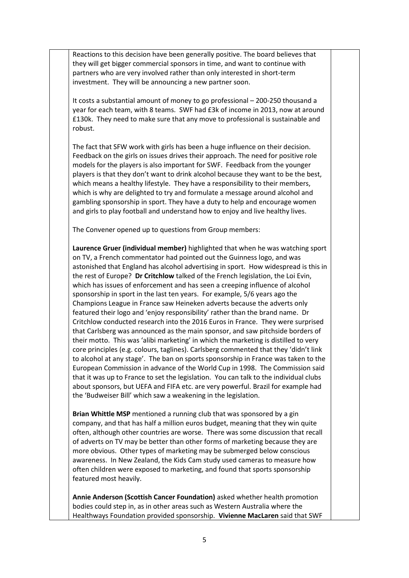Reactions to this decision have been generally positive. The board believes that they will get bigger commercial sponsors in time, and want to continue with partners who are very involved rather than only interested in short-term investment. They will be announcing a new partner soon.

It costs a substantial amount of money to go professional – 200-250 thousand a year for each team, with 8 teams. SWF had £3k of income in 2013, now at around £130k. They need to make sure that any move to professional is sustainable and robust.

The fact that SFW work with girls has been a huge influence on their decision. Feedback on the girls on issues drives their approach. The need for positive role models for the players is also important for SWF. Feedback from the younger players is that they don't want to drink alcohol because they want to be the best, which means a healthy lifestyle. They have a responsibility to their members, which is why are delighted to try and formulate a message around alcohol and gambling sponsorship in sport. They have a duty to help and encourage women and girls to play football and understand how to enjoy and live healthy lives.

The Convener opened up to questions from Group members:

**Laurence Gruer (individual member)** highlighted that when he was watching sport on TV, a French commentator had pointed out the Guinness logo, and was astonished that England has alcohol advertising in sport. How widespread is this in the rest of Europe? **Dr Critchlow** talked of the French legislation, the Loi Evin, which has issues of enforcement and has seen a creeping influence of alcohol sponsorship in sport in the last ten years. For example, 5/6 years ago the Champions League in France saw Heineken adverts because the adverts only featured their logo and 'enjoy responsibility' rather than the brand name. Dr Critchlow conducted research into the 2016 Euros in France. They were surprised that Carlsberg was announced as the main sponsor, and saw pitchside borders of their motto. This was 'alibi marketing' in which the marketing is distilled to very core principles (e.g. colours, taglines). Carlsberg commented that they 'didn't link to alcohol at any stage'. The ban on sports sponsorship in France was taken to the European Commission in advance of the World Cup in 1998. The Commission said that it was up to France to set the legislation. You can talk to the individual clubs about sponsors, but UEFA and FIFA etc. are very powerful. Brazil for example had the 'Budweiser Bill' which saw a weakening in the legislation.

**Brian Whittle MSP** mentioned a running club that was sponsored by a gin company, and that has half a million euros budget, meaning that they win quite often, although other countries are worse. There was some discussion that recall of adverts on TV may be better than other forms of marketing because they are more obvious. Other types of marketing may be submerged below conscious awareness. In New Zealand, the Kids Cam study used cameras to measure how often children were exposed to marketing, and found that sports sponsorship featured most heavily.

**Annie Anderson (Scottish Cancer Foundation)** asked whether health promotion bodies could step in, as in other areas such as Western Australia where the Healthways Foundation provided sponsorship. **Vivienne MacLaren** said that SWF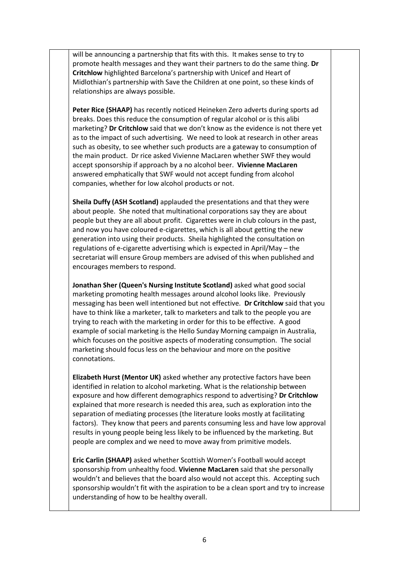will be announcing a partnership that fits with this. It makes sense to try to promote health messages and they want their partners to do the same thing. **Dr Critchlow** highlighted Barcelona's partnership with Unicef and Heart of Midlothian's partnership with Save the Children at one point, so these kinds of relationships are always possible.

**Peter Rice (SHAAP)** has recently noticed Heineken Zero adverts during sports ad breaks. Does this reduce the consumption of regular alcohol or is this alibi marketing? **Dr Critchlow** said that we don't know as the evidence is not there yet as to the impact of such advertising. We need to look at research in other areas such as obesity, to see whether such products are a gateway to consumption of the main product. Dr rice asked Vivienne MacLaren whether SWF they would accept sponsorship if approach by a no alcohol beer. **Vivienne MacLaren** answered emphatically that SWF would not accept funding from alcohol companies, whether for low alcohol products or not.

**Sheila Duffy (ASH Scotland)** applauded the presentations and that they were about people. She noted that multinational corporations say they are about people but they are all about profit. Cigarettes were in club colours in the past, and now you have coloured e-cigarettes, which is all about getting the new generation into using their products. Sheila highlighted the consultation on regulations of e-cigarette advertising which is expected in April/May – the secretariat will ensure Group members are advised of this when published and encourages members to respond.

**Jonathan Sher (Queen's Nursing Institute Scotland)** asked what good social marketing promoting health messages around alcohol looks like. Previously messaging has been well intentioned but not effective. **Dr Critchlow** said that you have to think like a marketer, talk to marketers and talk to the people you are trying to reach with the marketing in order for this to be effective. A good example of social marketing is the Hello Sunday Morning campaign in Australia, which focuses on the positive aspects of moderating consumption. The social marketing should focus less on the behaviour and more on the positive connotations.

**Elizabeth Hurst (Mentor UK)** asked whether any protective factors have been identified in relation to alcohol marketing. What is the relationship between exposure and how different demographics respond to advertising? **Dr Critchlow** explained that more research is needed this area, such as exploration into the separation of mediating processes (the literature looks mostly at facilitating factors). They know that peers and parents consuming less and have low approval results in young people being less likely to be influenced by the marketing. But people are complex and we need to move away from primitive models.

**Eric Carlin (SHAAP)** asked whether Scottish Women's Football would accept sponsorship from unhealthy food. **Vivienne MacLaren** said that she personally wouldn't and believes that the board also would not accept this. Accepting such sponsorship wouldn't fit with the aspiration to be a clean sport and try to increase understanding of how to be healthy overall.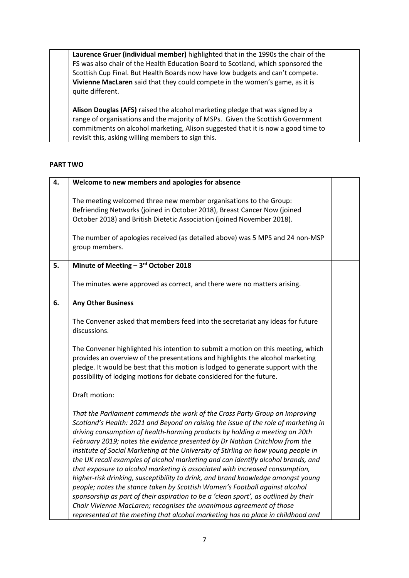**Laurence Gruer (individual member)** highlighted that in the 1990s the chair of the FS was also chair of the Health Education Board to Scotland, which sponsored the Scottish Cup Final. But Health Boards now have low budgets and can't compete. **Vivienne MacLaren** said that they could compete in the women's game, as it is quite different.

**Alison Douglas (AFS)** raised the alcohol marketing pledge that was signed by a range of organisations and the majority of MSPs. Given the Scottish Government commitments on alcohol marketing, Alison suggested that it is now a good time to revisit this, asking willing members to sign this.

## **PART TWO**

| 4. | Welcome to new members and apologies for absence                                                                                                                                                                                                                                                                                                                                                                                                                                                                                                                                                                                                                                                                                                                                                                                                                                                                                                                                                                |  |
|----|-----------------------------------------------------------------------------------------------------------------------------------------------------------------------------------------------------------------------------------------------------------------------------------------------------------------------------------------------------------------------------------------------------------------------------------------------------------------------------------------------------------------------------------------------------------------------------------------------------------------------------------------------------------------------------------------------------------------------------------------------------------------------------------------------------------------------------------------------------------------------------------------------------------------------------------------------------------------------------------------------------------------|--|
|    | The meeting welcomed three new member organisations to the Group:<br>Befriending Networks (joined in October 2018), Breast Cancer Now (joined<br>October 2018) and British Dietetic Association (joined November 2018).                                                                                                                                                                                                                                                                                                                                                                                                                                                                                                                                                                                                                                                                                                                                                                                         |  |
|    | The number of apologies received (as detailed above) was 5 MPS and 24 non-MSP<br>group members.                                                                                                                                                                                                                                                                                                                                                                                                                                                                                                                                                                                                                                                                                                                                                                                                                                                                                                                 |  |
| 5. | Minute of Meeting - 3rd October 2018                                                                                                                                                                                                                                                                                                                                                                                                                                                                                                                                                                                                                                                                                                                                                                                                                                                                                                                                                                            |  |
|    | The minutes were approved as correct, and there were no matters arising.                                                                                                                                                                                                                                                                                                                                                                                                                                                                                                                                                                                                                                                                                                                                                                                                                                                                                                                                        |  |
| 6. | <b>Any Other Business</b>                                                                                                                                                                                                                                                                                                                                                                                                                                                                                                                                                                                                                                                                                                                                                                                                                                                                                                                                                                                       |  |
|    | The Convener asked that members feed into the secretariat any ideas for future<br>discussions.                                                                                                                                                                                                                                                                                                                                                                                                                                                                                                                                                                                                                                                                                                                                                                                                                                                                                                                  |  |
|    | The Convener highlighted his intention to submit a motion on this meeting, which<br>provides an overview of the presentations and highlights the alcohol marketing<br>pledge. It would be best that this motion is lodged to generate support with the<br>possibility of lodging motions for debate considered for the future.                                                                                                                                                                                                                                                                                                                                                                                                                                                                                                                                                                                                                                                                                  |  |
|    | Draft motion:                                                                                                                                                                                                                                                                                                                                                                                                                                                                                                                                                                                                                                                                                                                                                                                                                                                                                                                                                                                                   |  |
|    | That the Parliament commends the work of the Cross Party Group on Improving<br>Scotland's Health: 2021 and Beyond on raising the issue of the role of marketing in<br>driving consumption of health-harming products by holding a meeting on 20th<br>February 2019; notes the evidence presented by Dr Nathan Critchlow from the<br>Institute of Social Marketing at the University of Stirling on how young people in<br>the UK recall examples of alcohol marketing and can identify alcohol brands, and<br>that exposure to alcohol marketing is associated with increased consumption,<br>higher-risk drinking, susceptibility to drink, and brand knowledge amongst young<br>people; notes the stance taken by Scottish Women's Football against alcohol<br>sponsorship as part of their aspiration to be a 'clean sport', as outlined by their<br>Chair Vivienne MacLaren; recognises the unanimous agreement of those<br>represented at the meeting that alcohol marketing has no place in childhood and |  |